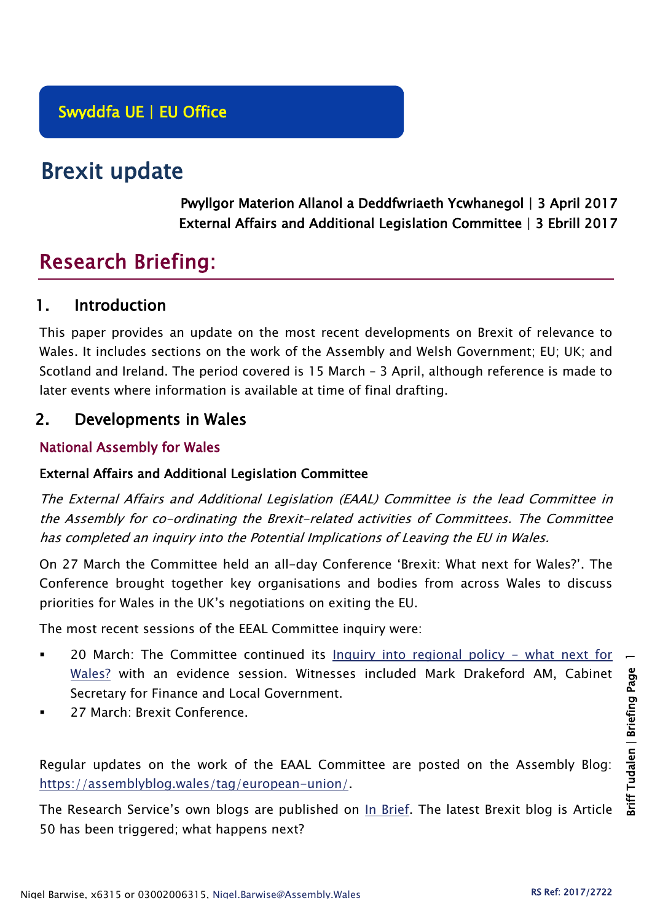# Brexit update

Pwyllgor Materion Allanol a Deddfwriaeth Ycwhanegol | 3 April 2017 External Affairs and Additional Legislation Committee | 3 Ebrill 2017

# Research Briefing:

# 1. Introduction

This paper provides an update on the most recent developments on Brexit of relevance to Wales. It includes sections on the work of the Assembly and Welsh Government; EU; UK; and Scotland and Ireland. The period covered is 15 March – 3 April, although reference is made to later events where information is available at time of final drafting.

# 2. Developments in Wales

## National Assembly for Wales

#### External Affairs and Additional Legislation Committee

The External Affairs and Additional Legislation (EAAL) Committee is the lead Committee in the Assembly for co-ordinating the Brexit-related activities of Committees. The Committee has completed an inquiry into the Potential Implications of Leaving the EU in Wales.

On 27 March the Committee held an all-day Conference 'Brexit: What next for Wales?'. The Conference brought together key organisations and bodies from across Wales to discuss priorities for Wales in the UK's negotiations on exiting the EU.

The most recent sessions of the EEAL Committee inquiry were:

- 20 March: The Committee continued its [Inquiry into regional policy -](http://senedd.assembly.wales/mgIssueHistoryHome.aspx?IId=17267) what next for [Wales?](http://senedd.assembly.wales/mgIssueHistoryHome.aspx?IId=17267) with an evidence session. Witnesses included Mark Drakeford AM, Cabinet Secretary for Finance and Local Government.
- 27 March: Brexit Conference.

Regular updates on the work of the EAAL Committee are posted on the Assembly Blog: [https://assemblyblog.wales/tag/european-union/.](https://assemblyblog.wales/tag/european-union/)

The Research Service's own blogs are published on [In Brief.](https://assemblyinbrief.wordpress.com/) The latest Brexit blog is Article 50 has been triggered; what happens next?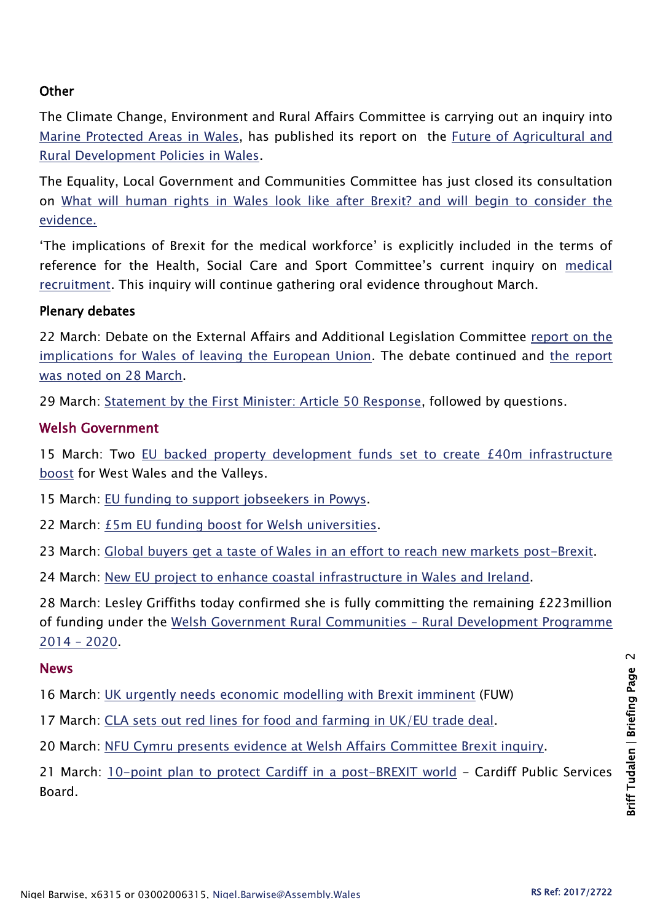#### **Other**

The Climate Change, Environment and Rural Affairs Committee is carrying out an inquiry into [Marine Protected Areas in Wales,](http://senedd.assembly.wales/mgIssueHistoryHome.aspx?IId=16663) has published its report on the [Future of Agricultural and](http://senedd.assembly.wales/mgIssueHistoryHome.aspx?IId=15876)  [Rural Development Policies in Wales.](http://senedd.assembly.wales/mgIssueHistoryHome.aspx?IId=15876)

The Equality, Local Government and Communities Committee has just closed its consultation on [What will human rights in Wales look like after Brexit?](http://senedd.assembly.wales/mgConsultationDisplay.aspx?id=244&RPID=1008299204&cp=yes) and will begin to consider the evidence.

'The implications of Brexit for the medical workforce' is explicitly included in the terms of reference for the Health, Social Care and Sport Committee's current inquiry on [medical](http://senedd.assembly.wales/mgIssueHistoryHome.aspx?IId=16122)  [recruitment.](http://senedd.assembly.wales/mgIssueHistoryHome.aspx?IId=16122) This inquiry will continue gathering oral evidence throughout March.

#### Plenary debates

22 March: Debate on the External Affairs and Additional Legislation Committee [report on the](Debate%20on%20the%20External%20Affairs%20and%20Additional%20Legislation%20Committee%20Report%20on%20the%20Implications%20for%20Wales%20of%20Leaving%20the%20European%20Union)  [implications for Wales of leaving the European Union.](Debate%20on%20the%20External%20Affairs%20and%20Additional%20Legislation%20Committee%20Report%20on%20the%20Implications%20for%20Wales%20of%20Leaving%20the%20European%20Union) The debate continued and [the report](http://www.assembly.wales/en/bus-home/pages/rop.aspx?meetingid=4258&assembly=5&c=Record%20of%20Proceedings#464997)  [was noted on 28 March.](http://www.assembly.wales/en/bus-home/pages/rop.aspx?meetingid=4258&assembly=5&c=Record%20of%20Proceedings#464997)

29 March: [Statement by the First Minister: Article 50 Response,](http://www.assembly.wales/en/bus-home/pages/rop.aspx?meetingid=4259&assembly=5&c=Record%20of%20Proceedings#465623) followed by questions.

#### Welsh Government

15 March: Two [EU backed property development funds set to create £40m infrastructure](http://gov.wales/newsroom/businessandeconomy/2017/170315-two-eu-backed-property-development-funds-set/?lang=en)  [boost](http://gov.wales/newsroom/businessandeconomy/2017/170315-two-eu-backed-property-development-funds-set/?lang=en) for West Wales and the Valleys.

15 March: [EU funding to support jobseekers in Powys.](http://gov.wales/newsroom/finance1/2017/58960142/?lang=en)

22 March: [£5m EU funding boost for Welsh universities.](http://gov.wales/newsroom/environmentandcountryside/2017/170322-5m-eu-funding-boost-for-welsh-universities/?lang=en)

23 March: [Global buyers get a taste of Wales in an effort to reach new markets post-Brexit.](http://gov.wales/newsroom/environmentandcountryside/2017/170322-global-buyers-get-a-taste-of-wales-in-effort-to-reach-new-markets-post-brexit/?lang=en)

24 March: [New EU project to enhance coastal](http://gov.wales/newsroom/finance1/2017/58989485/?lang=en) infrastructure in Wales and Ireland.

28 March: Lesley Griffiths today confirmed she is fully committing the remaining £223million of funding under the [Welsh Government Rural Communities](http://gov.wales/newsroom/environmentandcountryside/2017/quarter-of-a-billion-pound-boost-for-wales-rural-communities/?lang=en) – Rural Development Programme [2014](http://gov.wales/newsroom/environmentandcountryside/2017/quarter-of-a-billion-pound-boost-for-wales-rural-communities/?lang=en) – 2020.

#### News

16 March: [UK urgently needs economic modelling with Brexit imminent](http://fuw.org.uk/uk-urgently-needs-economic-modelling-with-brexit-imminent-fuw-says/) (FUW)

17 March: [CLA sets out red lines for food and farming in UK/EU trade deal.](http://www.cla.org.uk/latest/news/all-news/cla-sets-out-red-lines-food-and-farming-ukeu-trade-deal)

20 March: [NFU Cymru presents evidence at Welsh Affairs Committee Brexit inquiry.](https://www.nfu-cymru.org.uk/news/latest-news/nfu-cymru-presents-evidence-at-brexit-inquiry/)

21 March: [10-point plan to protect Cardiff in a post-BREXIT world](http://www.cardiffnewsroom.co.uk/r/13677/10-point_plan_to_protect_cardiff_in_a_post-brexit_world?utm_content=buffer41d82&utm_medium=social&utm_source=twitter.com&utm_campaign=buffer) - Cardiff Public Services Board.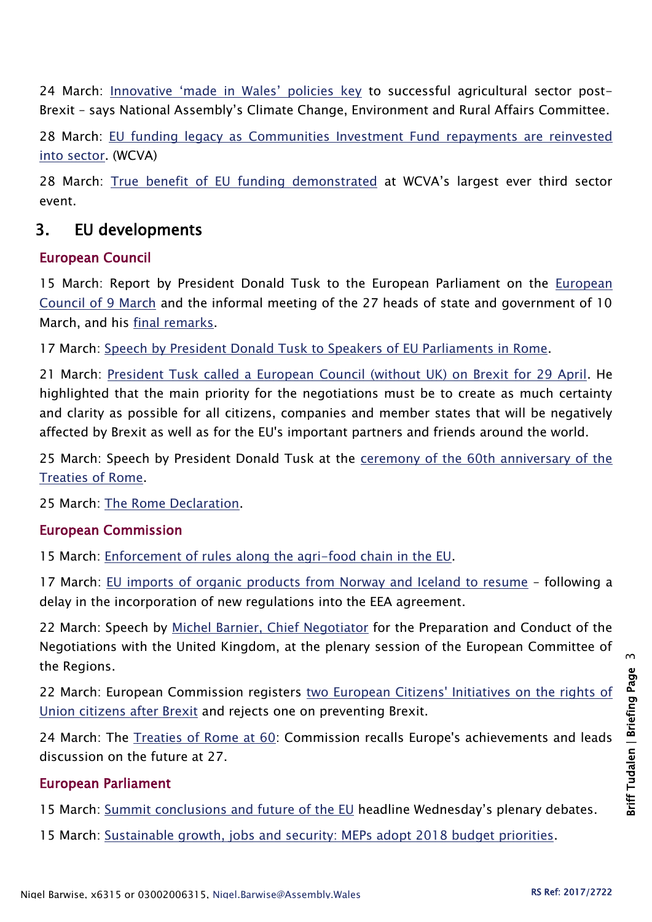24 March: [Innovative 'made in Wales' policies key](http://www.assembly.wales/en/newhome/pages/newsitem.aspx?itemid=1700&assembly=5) to successful agricultural sector post-Brexit – says National Assembly's Climate Change, Environment and Rural Affairs Committee.

28 March: [EU funding legacy as Communities Investment Fund repayments are reinvested](http://www.wcva.org.uk/about-us/news/2017/03/eu-funding-legacy-as-communities-investment-fund-repayments-are-reinvested-into-sector)  [into sector.](http://www.wcva.org.uk/about-us/news/2017/03/eu-funding-legacy-as-communities-investment-fund-repayments-are-reinvested-into-sector) (WCVA)

28 March: [True benefit of EU funding demonstrated](http://www.wcva.org.uk/about-us/news/2017/03/true-benefit-of-eu-funding-demonstrated-at-wcvas-largest-ever-third-sector-event) at WCVA's largest ever third sector event.

# 3. EU developments

#### European Council

15 March: Report by President Donald Tusk to the European Parliament on the [European](http://www.consilium.europa.eu/en/press/press-releases/2017/03/15-tusk-report-european-parliament/)  [Council of 9 March](http://www.consilium.europa.eu/en/press/press-releases/2017/03/15-tusk-report-european-parliament/) and the informal meeting of the 27 heads of state and government of 10 March, and his [final remarks.](http://www.consilium.europa.eu/en/press/press-releases/2017/03/15-tusk-final-remarks-european-parliament/)

17 March: [Speech by President Donald Tusk to Speakers of EU Parliaments in Rome.](http://www.consilium.europa.eu/en/press/press-releases/2017/03/17-tusk-speech-conference-eu-parliaments-rome/)

21 March: [President Tusk called a European Council \(without UK\) on Brexit for 29 April.](http://www.consilium.europa.eu/en/european-council/president/news/20170321-april-brexit-euco/) He highlighted that the main priority for the negotiations must be to create as much certainty and clarity as possible for all citizens, companies and member states that will be negatively affected by Brexit as well as for the EU's important partners and friends around the world.

25 March: Speech by President Donald Tusk at the ceremony of the 60th anniversary of the [Treaties of Rome.](http://www.consilium.europa.eu/en/press/press-releases/2017/03/25-tusk-ceremony-rome-speech/)

25 March: [The Rome Declaration.](http://www.consilium.europa.eu/en/press/press-releases/2017/03/25-rome-declaration/)

#### European Commission

15 March: [Enforcement of rules along the agri-food chain in the EU.](http://europa.eu/rapid/press-release_MEMO-17-611_en.htm)

17 March: [EU imports of organic products from Norway and Iceland to resume](http://europa.eu/rapid/press-release_IP-17-627_en.htm) – following a delay in the incorporation of new regulations into the EEA agreement.

22 March: Speech by [Michel Barnier, Chief Negotiator](http://europa.eu/rapid/press-release_SPEECH-17-723_en.htm) for the Preparation and Conduct of the Negotiations with the United Kingdom, at the plenary session of the European Committee of the Regions.

22 March: European Commission registers two European Citizens' Initiatives on the rights of [Union citizens after Brexit](http://europa.eu/rapid/press-release_IP-17-649_en.htm) and rejects one on preventing Brexit.

24 March: The [Treaties of Rome at 60:](http://europa.eu/rapid/press-release_IP-17-701_en.htm) Commission recalls Europe's achievements and leads discussion on the future at 27.

#### European Parliament

15 March: [Summit conclusions and future of the EU](http://www.europarl.europa.eu/news/en/news-room/20170308IPR65669/summit-conclusions-and-future-of-the-eu-headline-wednesday%E2%80%99s-plenary-debates) headline Wednesday's plenary debates.

15 March: [Sustainable growth, jobs and security: MEPs adopt 2018 budget priorities.](http://www.europarl.europa.eu/news/en/news-room/20170308IPR65681/sustainable-growth-jobs-and-security-meps-adopt-2018-budget-priorities)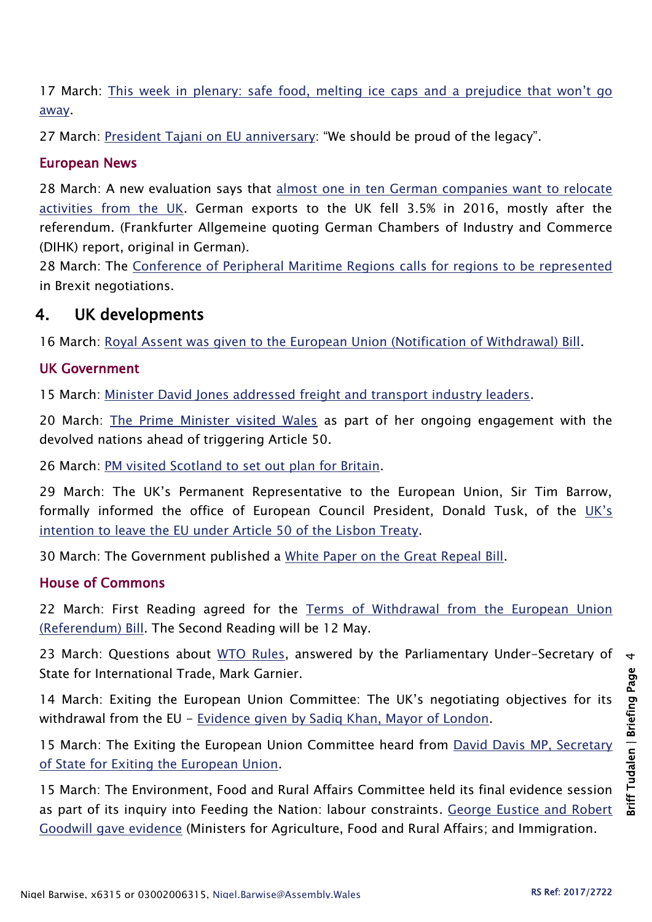17 March: This week in plenary: safe [food, melting ice caps and a prejudice that won't go](http://www.europarl.europa.eu/news/en/news-room/20170310STO66218/march-plenary-safe-food-melting-ice-caps-and-a-prejudice-that-won%E2%80%99t-go-away)  [away.](http://www.europarl.europa.eu/news/en/news-room/20170310STO66218/march-plenary-safe-food-melting-ice-caps-and-a-prejudice-that-won%E2%80%99t-go-away)

27 March: [President Tajani on EU anniversary](http://www.europarl.europa.eu/news/en/news-room/20170324STO68402/president-tajani-on-eu-anniversary-%E2%80%9Cwe-should-be-proud-of-the-legacy%E2%80%9D): "We should be proud of the legacy".

#### European News

28 March: A new evaluation says that [almost one in ten German companies want to relocate](https://translate.google.co.uk/translate?sl=de&tl=en&js=y&prev=_t&hl=en&ie=UTF-8&u=http%3A%2F%2Fwww.faz.net%2Faktuell%2Fwirtschaft%2Fbrexit%2Ff-a-z-exklusiv-der-brexit-vertreibt-deutsche-investoren-14945246.html&edit-text=)  [activities from the UK.](https://translate.google.co.uk/translate?sl=de&tl=en&js=y&prev=_t&hl=en&ie=UTF-8&u=http%3A%2F%2Fwww.faz.net%2Faktuell%2Fwirtschaft%2Fbrexit%2Ff-a-z-exklusiv-der-brexit-vertreibt-deutsche-investoren-14945246.html&edit-text=) German exports to the UK fell 3.5% in 2016, mostly after the referendum. (Frankfurter Allgemeine quoting German Chambers of Industry and Commerce (DIHK) report, original in German).

28 March: The [Conference of Peripheral Maritime Regions calls for regions to be represented](http://cpmr.org/cohesion/cpmr-calls-for-regions-to-be-represented-in-brexit-negotiations/11809/) in Brexit negotiations.

# 4. UK developments

16 March: [Royal Assent was given to the European Union \(Notification of Withdrawal\) Bill.](http://www.parliament.uk/business/news/2017/january/commons-european-union-notification-of-withdrawal-bill/)

## UK Government

15 March: [Minister David Jones addressed freight and transport industry leaders.](https://www.gov.uk/government/news/minister-david-jones-addressed-freight-and-transport-industry-leaders)

20 March: [The Prime Minister visited Wales](https://www.gov.uk/government/news/pm-visits-wales-before-triggering-article-50) as part of her ongoing engagement with the devolved nations ahead of triggering Article 50.

26 March: PM visited [Scotland to set out plan for Britain.](https://www.gov.uk/government/news/pm-to-visit-scotland-to-set-out-plan-for-britain)

29 March: The UK's Permanent Representative to the European Union, Sir Tim Barrow, formally informed the office of European Council President, Donald Tusk, of the [UK's](https://www.gov.uk/government/publications/prime-ministers-letter-to-donald-tusk-triggering-article-50/prime-ministers-letter-to-donald-tusk-triggering-article-50)  [intention to leave the EU under](https://www.gov.uk/government/publications/prime-ministers-letter-to-donald-tusk-triggering-article-50/prime-ministers-letter-to-donald-tusk-triggering-article-50) Article 50 of the Lisbon Treaty.

30 March: The Government published a [White Paper on the Great Repeal Bill.](https://www.gov.uk/government/uploads/system/uploads/attachment_data/file/604516/Great_repeal_bill_white_paper_accessible.pdf)

#### House of Commons

22 March: First Reading agreed for the [Terms of Withdrawal from the European Union](https://hansard.parliament.uk/commons/2017-03-22/debates/E96EA058-78F1-4295-B1E5-06969BB9FB8D/TermsOfWithdrawalFromTheEuropeanUnion(Referendum))  [\(Referendum\) Bill.](https://hansard.parliament.uk/commons/2017-03-22/debates/E96EA058-78F1-4295-B1E5-06969BB9FB8D/TermsOfWithdrawalFromTheEuropeanUnion(Referendum)) The Second Reading will be 12 May.

23 March: Questions about [WTO Rules,](https://hansard.parliament.uk/commons/2017-03-23/debates/44E2EE24-C540-49AB-B86D-EC1FBFC8D23A/WTORules) answered by the Parliamentary Under-Secretary of State for International Trade, Mark Garnier.

14 March: Exiting the European Union Committee: The UK's negotiating objectives for its withdrawal from the EU - [Evidence given by Sadiq Khan, Mayor of London.](http://data.parliament.uk/writtenevidence/committeeevidence.svc/evidencedocument/exiting-the-european-union-committee/the-uks-negotiating-objectives-for-its-withdrawal-from-the-eu/oral/48820.html)

15 March: The Exiting the European Union Committee heard from David Davis MP, Secretary [of State for Exiting the European Union.](http://data.parliament.uk/writtenevidence/committeeevidence.svc/evidencedocument/exiting-the-european-union-committee/the-uks-negotiating-objectives-for-its-withdrawal-from-the-eu/oral/48859.html)

15 March: The Environment, Food and Rural Affairs Committee held its final evidence session as part of its inquiry into Feeding the Nation: labour constraints. [George Eustice and Robert](http://data.parliament.uk/writtenevidence/committeeevidence.svc/evidencedocument/environment-food-and-rural-affairs-committee/feeding-the-nation-labour-contraints/oral/49074.html)  [Goodwill gave evidence](http://data.parliament.uk/writtenevidence/committeeevidence.svc/evidencedocument/environment-food-and-rural-affairs-committee/feeding-the-nation-labour-contraints/oral/49074.html) (Ministers for Agriculture, Food and Rural Affairs; and Immigration.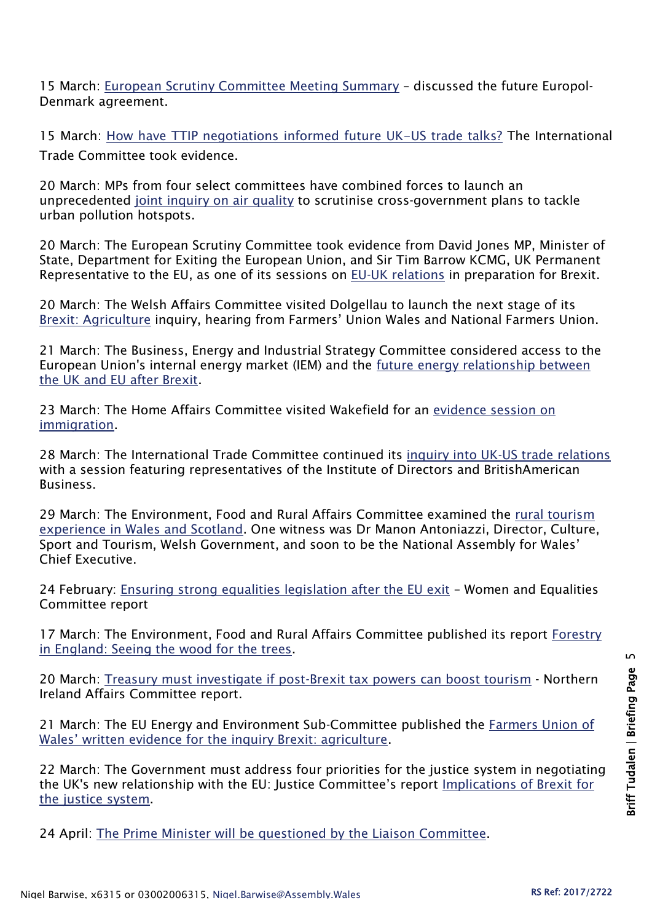15 March: [European Scrutiny Committee Meeting Summary](http://data.parliament.uk/writtenevidence/committeeevidence.svc/evidencedocument/european-scrutiny-committee/meeting-summary-201516/oral/49124.pdf) – discussed the future Europol-Denmark agreement.

15 March: [How have TTIP negotiations informed future UK-US trade talks?](http://www.parliament.uk/business/committees/committees-a-z/commons-select/international-trade-committee/news-parliament-2015/uk-us-trade-first-evidence-16-17/) The International Trade Committee took evidence.

20 March: MPs from four select committees have combined forces to launch an unprecedented [joint inquiry on air quality](http://www.parliament.uk/business/committees/committees-a-z/commons-select/environment-food-and-rural-affairs-committee/news-parliament-2015/joint-air-quality-launch-16-17/) to scrutinise cross-government plans to tackle urban pollution hotspots.

20 March: The European Scrutiny Committee took evidence from David Jones MP, Minister of State, Department for Exiting the European Union, and Sir Tim Barrow KCMG, UK Permanent Representative to the EU, as one of its sessions on [EU-UK relations](http://www.parliament.uk/business/committees/committees-a-z/commons-select/european-scrutiny-committee/news-parliament-20151/eu-uk-brexit-relations-jones-barrow-evidence-16-17/) in preparation for Brexit.

20 March: The Welsh Affairs Committee visited Dolgellau to launch the next stage of its **[Brexit: Agriculture](http://www.parliament.uk/business/committees/committees-a-z/commons-select/welsh-affairs-committee/news-parliament-2015/agriculture-brexit-inquiry-launch-16-17/) inquiry, hearing from Farmers' Union Wales and National Farmers Union.** 

21 March: The Business, Energy and Industrial Strategy Committee considered access to the European Union's internal energy market (IEM) and the [future energy relationship between](http://www.parliament.uk/business/committees/committees-a-z/commons-select/business-energy-industrial-strategy/news-parliament-2015/leaving-the-eu-internal-energy-market-evidence-16-17/)  [the UK and EU after Brexit.](http://www.parliament.uk/business/committees/committees-a-z/commons-select/business-energy-industrial-strategy/news-parliament-2015/leaving-the-eu-internal-energy-market-evidence-16-17/)

23 March: The Home Affairs Committee visited Wakefield for an [evidence session on](http://www.parliament.uk/business/committees/committees-a-z/commons-select/home-affairs-committee/news-parliament-2015/170321-immigration-ev-wakefield/)  [immigration.](http://www.parliament.uk/business/committees/committees-a-z/commons-select/home-affairs-committee/news-parliament-2015/170321-immigration-ev-wakefield/)

28 March: The International Trade Committee continued its [inquiry into UK-US trade relations](http://www.parliament.uk/business/committees/committees-a-z/commons-select/international-trade-committee/news-parliament-2015/uk-us-trade-britishamerican-evidence-16-17/) with a session featuring representatives of the Institute of Directors and BritishAmerican Business.

29 March: The Environment, Food and Rural Affairs Committee examined the [rural tourism](http://www.parliament.uk/business/committees/committees-a-z/commons-select/environment-food-and-rural-affairs-committee/news-parliament-2015/rural-tourism-ev6-16-17/)  [experience in Wales and Scotland.](http://www.parliament.uk/business/committees/committees-a-z/commons-select/environment-food-and-rural-affairs-committee/news-parliament-2015/rural-tourism-ev6-16-17/) One witness was Dr Manon Antoniazzi, Director, Culture, Sport and Tourism, Welsh Government, and soon to be the National Assembly for Wales' Chief Executive.

24 February: Ensuring strong [equalities legislation after the EU exit](https://www.publications.parliament.uk/pa/cm201617/cmselect/cmwomeq/799/79902.htm) - Women and Equalities Committee report

17 March: The Environment, Food and Rural Affairs Committee published its report Forestry [in England: Seeing the wood for the trees.](https://www.publications.parliament.uk/pa/cm201617/cmselect/cmenvfru/619/61902.htm)

20 March: [Treasury must investigate if post-Brexit tax powers can boost tourism](http://www.parliament.uk/business/committees/committees-a-z/commons-select/northern-ireland-affairs-committee/news-parliament-2015/promoting-tourism-report-publication-16-17/) - Northern Ireland Affairs Committee report.

21 March: The EU Energy and Environment Sub-Committee published the [Farmers Union of](http://data.parliament.uk/writtenevidence/committeeevidence.svc/evidencedocument/eu-energy-and-environment-subcommittee/brexit-agriculture/written/48568.html)  [Wales' written evidence for the inquiry Brexit: agriculture](http://data.parliament.uk/writtenevidence/committeeevidence.svc/evidencedocument/eu-energy-and-environment-subcommittee/brexit-agriculture/written/48568.html).

22 March: The Government must address four priorities for the justice system in negotiating the UK's new relationship with the EU: Justice Committee's report [Implications of Brexit for](https://www.publications.parliament.uk/pa/cm201617/cmselect/cmjust/750/75002.htm)  [the justice system.](https://www.publications.parliament.uk/pa/cm201617/cmselect/cmjust/750/75002.htm)

24 April: [The Prime Minister will be questioned by the Liaison Committee.](http://www.parliament.uk/business/committees/committees-a-z/commons-select/liaison-committee/news-parliament-20151/prime-minister-2-evidence-16-17/)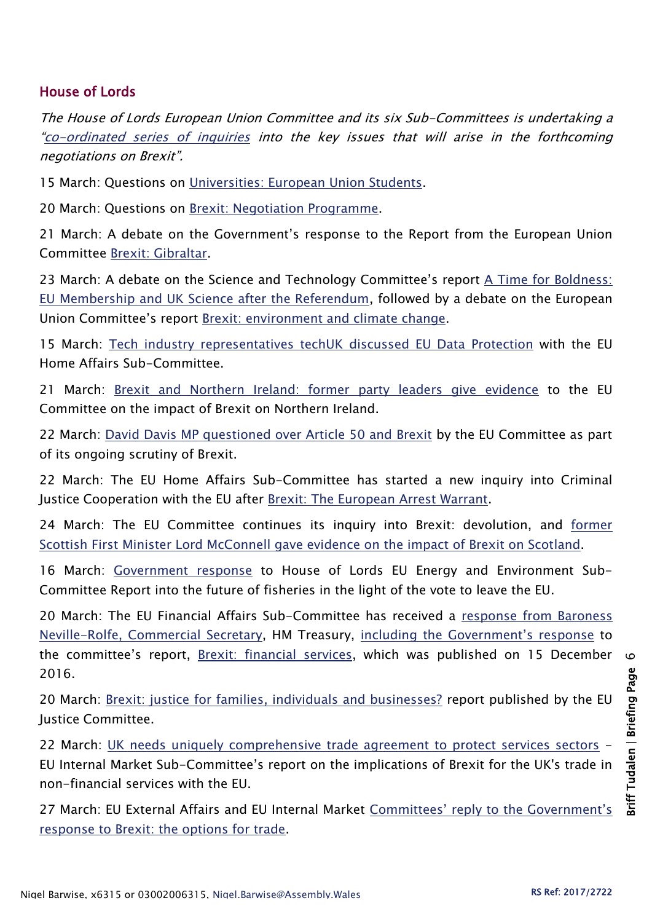## House of Lords

The House of Lords European Union Committee and its six Sub-Committees is undertaking a "[co-ordinated series of inquiries](http://www.parliament.uk/business/committees/committees-a-z/lords-select/eu-select-committee-/news-parliament-2015/co-ordinated-inquries-launch/) into the key issues that will arise in the forthcoming negotiations on Brexit".

15 March: Questions on [Universities: European Union Students.](https://hansard.parliament.uk/Lords/2017-03-15/debates/10F2A1E7-55A3-4F90-9384-57EEFB37CF6D/UniversitiesEuropeanUnionStudents)

20 March: Questions on [Brexit: Negotiation Programme.](https://hansard.parliament.uk/Lords/2017-03-20/debates/EF5F5AA9-769C-4562-9DE7-261BA84BCE2D/BrexitNegotiationProgramme)

21 March: A debate on the Government's response to the Report from the European Union Committee [Brexit: Gibraltar.](https://hansard.parliament.uk/Lords/2017-03-21/debates/ED51F73C-D70F-4D5E-86DA-115779383895/BrexitGibraltar)

23 March: A debate on the Science and Technology Committee's report A Time for Boldness: [EU Membership and UK Science after the Referendum,](https://hansard.parliament.uk/Lords/2017-03-23/debates/1D691CB1-4519-48C5-ABFB-5C9392EEF86D/EUMembershipUKScience) followed by a debate on the European Union Committee's report [Brexit: environment and climate change.](https://hansard.parliament.uk/Lords/2017-03-23/debates/663CF247-46D9-43E5-BAE4-798866F8E0D6/BrexitEnvironmentAndClimateChange)

15 March: [Tech industry representatives techUK discussed](http://www.parliament.uk/business/committees/committees-a-z/lords-select/eu-home-affairs-subcommittee/news-parliament-2015/tech-representative-data-protection/) EU Data Protection with the EU Home Affairs Sub-Committee.

21 March: [Brexit and Northern Ireland: former party leaders give evidence](http://www.parliament.uk/business/committees/committees-a-z/lords-select/eu-select-committee-/news-parliament-2015/brexit-devolution-ni-evidence-210317/) to the EU Committee on the impact of Brexit on Northern Ireland.

22 March: [David Davis MP questioned over Article 50 and](http://www.parliament.uk/business/committees/committees-a-z/lords-select/eu-select-committee-/news-parliament-2015/david-davis-evidence-220317/) Brexit by the EU Committee as part of its ongoing scrutiny of Brexit.

22 March: The EU Home Affairs Sub-Committee has started a new inquiry into Criminal Justice Cooperation with the EU after [Brexit: The European Arrest Warrant.](http://www.parliament.uk/business/committees/committees-a-z/lords-select/eu-home-affairs-subcommittee/news-parliament-2015/european-arrest-warrant-inquiry-launched/)

24 March: The EU Committee continues its inquiry into Brexit: devolution, and [former](http://www.parliament.uk/business/committees/committees-a-z/lords-select/eu-select-committee-/news-parliament-2015/lord-mcconnell-devolution-evidence/)  [Scottish First Minister Lord McConnell gave evidence on the impact of Brexit on Scotland.](http://www.parliament.uk/business/committees/committees-a-z/lords-select/eu-select-committee-/news-parliament-2015/lord-mcconnell-devolution-evidence/)

16 March: [Government response](http://www.parliament.uk/documents/lords-committees/eu-energy-environment-subcommittee/Brexit-fisheries/Gvt-Response.pdf) to House of Lords EU Energy and Environment Sub-Committee Report into the future of fisheries in the light of the vote to leave the EU.

20 March: The EU Financial Affairs Sub-Committee has received a [response from Baroness](http://www.parliament.uk/documents/lords-committees/eu-financial-affairs-subcommittee/Brexit-financial-services/170202-Letter-from-Commercial-Secretary-brexit-financial-services.pdf)  [Neville-Rolfe, Commercial Secretary,](http://www.parliament.uk/documents/lords-committees/eu-financial-affairs-subcommittee/Brexit-financial-services/170202-Letter-from-Commercial-Secretary-brexit-financial-services.pdf) HM Treasury, [including the Government's response](http://www.parliament.uk/documents/lords-committees/eu-financial-affairs-subcommittee/Brexit-financial-services/170215-Government-response-Brexit-financial-services.pdf) to the committee's report, [Brexit: financial services,](https://www.publications.parliament.uk/pa/ld201617/ldselect/ldeucom/81/81.pdf) which was published on 15 December 2016.

20 March: [Brexit: justice for families, individuals and businesses?](https://www.publications.parliament.uk/pa/ld201617/ldselect/ldeucom/134/134.pdf) report published by the EU Justice Committee.

22 March: [UK needs uniquely comprehensive trade agreement to protect services sectors](https://www.publications.parliament.uk/pa/ld201617/ldselect/ldeucom/135/135.pdf) -EU Internal Market Sub-Committee's report on the implications of Brexit for the UK's trade in non-financial services with the EU.

27 March: EU External Affairs and EU Internal Market [Committees' reply to the Government's](http://www.parliament.uk/documents/lords-committees/eu-sub-com-b/Letter%20on%20Government%20response%20to%20Brexit%20-%20the%20options%20for%20trade%20FINAL.pdf)  [response to Brexit: the options for trade.](http://www.parliament.uk/documents/lords-committees/eu-sub-com-b/Letter%20on%20Government%20response%20to%20Brexit%20-%20the%20options%20for%20trade%20FINAL.pdf)